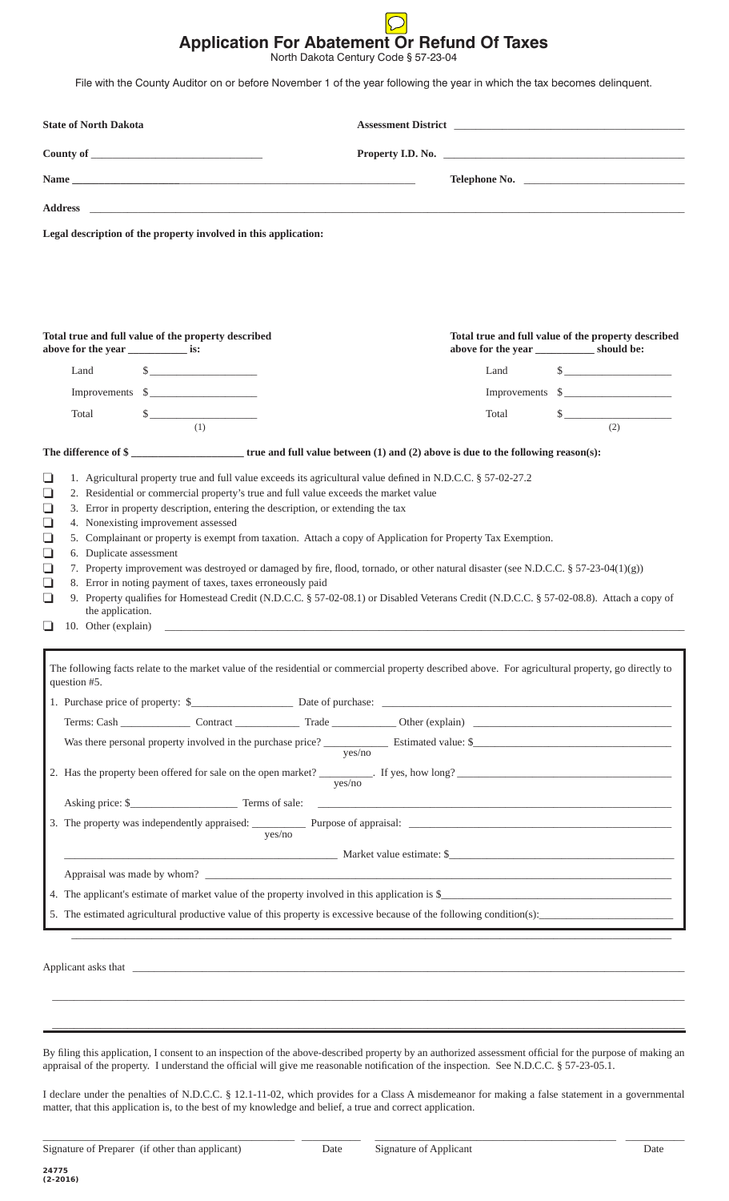## **Application For Abatement Or Refund Of Taxes**

North Dakota Century Code § 57-23-04

File with the County Auditor on or before November 1 of the year following the year in which the tax becomes delinquent.

| <b>State of North Dakota</b>                                                                                                                                                                                                                                                                                                                                                                                                                                                                                                                                                                                                                                                                                           |                                              |       |                                                               |  |  |
|------------------------------------------------------------------------------------------------------------------------------------------------------------------------------------------------------------------------------------------------------------------------------------------------------------------------------------------------------------------------------------------------------------------------------------------------------------------------------------------------------------------------------------------------------------------------------------------------------------------------------------------------------------------------------------------------------------------------|----------------------------------------------|-------|---------------------------------------------------------------|--|--|
|                                                                                                                                                                                                                                                                                                                                                                                                                                                                                                                                                                                                                                                                                                                        | Property I.D. No.                            |       |                                                               |  |  |
|                                                                                                                                                                                                                                                                                                                                                                                                                                                                                                                                                                                                                                                                                                                        |                                              |       |                                                               |  |  |
|                                                                                                                                                                                                                                                                                                                                                                                                                                                                                                                                                                                                                                                                                                                        |                                              |       |                                                               |  |  |
| Legal description of the property involved in this application:                                                                                                                                                                                                                                                                                                                                                                                                                                                                                                                                                                                                                                                        |                                              |       |                                                               |  |  |
| Total true and full value of the property described<br>above for the year _______________ is:<br>$\quad \  \  \, \text{\bf S} \underline{\hspace{2cm}} \underline{\hspace{2cm}}$<br>Land                                                                                                                                                                                                                                                                                                                                                                                                                                                                                                                               |                                              | Land  | Total true and full value of the property described<br>$\sim$ |  |  |
| Improvements \$                                                                                                                                                                                                                                                                                                                                                                                                                                                                                                                                                                                                                                                                                                        |                                              |       | Improvements \$                                               |  |  |
| $\frac{1}{2}$<br>Total                                                                                                                                                                                                                                                                                                                                                                                                                                                                                                                                                                                                                                                                                                 |                                              | Total | $\frac{1}{2}$                                                 |  |  |
| (1)                                                                                                                                                                                                                                                                                                                                                                                                                                                                                                                                                                                                                                                                                                                    |                                              |       | (2)                                                           |  |  |
|                                                                                                                                                                                                                                                                                                                                                                                                                                                                                                                                                                                                                                                                                                                        |                                              |       |                                                               |  |  |
| 3. Error in property description, entering the description, or extending the tax<br>❏<br>4. Nonexisting improvement assessed<br>$\Box$<br>$\Box$<br>5. Complainant or property is exempt from taxation. Attach a copy of Application for Property Tax Exemption.<br>6. Duplicate assessment<br>$\Box$<br>7. Property improvement was destroyed or damaged by fire, flood, tornado, or other natural disaster (see N.D.C.C. § 57-23-04(1)(g))<br>❏<br>8. Error in noting payment of taxes, taxes erroneously paid<br>❏<br>9. Property qualifies for Homestead Credit (N.D.C.C. § 57-02-08.1) or Disabled Veterans Credit (N.D.C.C. § 57-02-08.8). Attach a copy of<br>❏<br>the application.<br>❏<br>10. Other (explain) | <u> 1980 - Jan Salaman Salaman (j. 1980)</u> |       |                                                               |  |  |
| The following facts relate to the market value of the residential or commercial property described above. For agricultural property, go directly to<br>question #5.                                                                                                                                                                                                                                                                                                                                                                                                                                                                                                                                                    |                                              |       |                                                               |  |  |
|                                                                                                                                                                                                                                                                                                                                                                                                                                                                                                                                                                                                                                                                                                                        |                                              |       |                                                               |  |  |
|                                                                                                                                                                                                                                                                                                                                                                                                                                                                                                                                                                                                                                                                                                                        |                                              |       |                                                               |  |  |
|                                                                                                                                                                                                                                                                                                                                                                                                                                                                                                                                                                                                                                                                                                                        | ves/no                                       |       |                                                               |  |  |
|                                                                                                                                                                                                                                                                                                                                                                                                                                                                                                                                                                                                                                                                                                                        | yes/no                                       |       |                                                               |  |  |
| Asking price: \$                                                                                                                                                                                                                                                                                                                                                                                                                                                                                                                                                                                                                                                                                                       |                                              |       |                                                               |  |  |
| yes/no                                                                                                                                                                                                                                                                                                                                                                                                                                                                                                                                                                                                                                                                                                                 |                                              |       |                                                               |  |  |
|                                                                                                                                                                                                                                                                                                                                                                                                                                                                                                                                                                                                                                                                                                                        | Market value estimate: \$                    |       |                                                               |  |  |
| 4. The applicant's estimate of market value of the property involved in this application is \$                                                                                                                                                                                                                                                                                                                                                                                                                                                                                                                                                                                                                         |                                              |       |                                                               |  |  |
| 5. The estimated agricultural productive value of this property is excessive because of the following condition(s):                                                                                                                                                                                                                                                                                                                                                                                                                                                                                                                                                                                                    |                                              |       |                                                               |  |  |
|                                                                                                                                                                                                                                                                                                                                                                                                                                                                                                                                                                                                                                                                                                                        |                                              |       |                                                               |  |  |
|                                                                                                                                                                                                                                                                                                                                                                                                                                                                                                                                                                                                                                                                                                                        |                                              |       |                                                               |  |  |

By filing this application, I consent to an inspection of the above-described property by an authorized assessment official for the purpose of making an appraisal of the property. I understand the official will give me reasonable notification of the inspection. See N.D.C.C. § 57-23-05.1.

 $\mathcal{L}_\text{max}$  , and the set of the set of the set of the set of the set of the set of the set of the set of the set of the set of the set of the set of the set of the set of the set of the set of the set of the set of the

I declare under the penalties of N.D.C.C. § 12.1-11-02, which provides for a Class A misdemeanor for making a false statement in a governmental matter, that this application is, to the best of my knowledge and belief, a true and correct application.

\_\_\_\_\_\_\_\_\_\_\_\_\_\_\_\_\_\_\_\_\_\_\_\_\_\_\_\_\_\_\_\_\_\_\_\_\_\_\_\_\_\_\_\_\_\_\_ \_\_\_\_\_\_\_\_\_\_\_ \_\_\_\_\_\_\_\_\_\_\_\_\_\_\_\_\_\_\_\_\_\_\_\_\_\_\_\_\_\_\_\_\_\_\_\_\_\_\_\_\_\_\_\_\_ \_\_\_\_\_\_\_\_\_\_\_